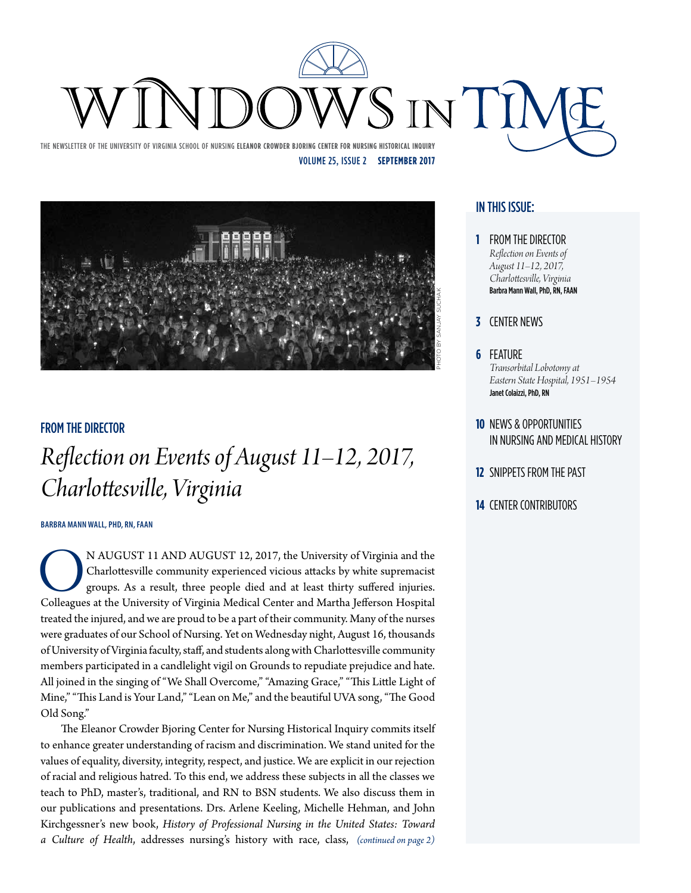

The Newsletter of the University of Virginia School of Nursing **Eleanor Crowder Bjoring Center for Nursing Historical Inquiry** Volume 25, Issue 2 **September 2017**



#### From the Director

### *Reflection on Events of August 11–12, 2017, Charlottesville, Virginia*

#### **Barbra Mann Wall, PhD, RN, FAAN**

N AUGUST 11 AND AUGUST 12, 2017, the University of Virginia and the Charlottesville community experienced vicious attacks by white supremacist groups. As a result, three people died and at least thirty suffered injuries. C Charlottesville community experienced vicious attacks by white supremacist groups. As a result, three people died and at least thirty suffered injuries. Colleagues at the University of Virginia Medical Center and Martha Jefferson Hospital treated the injured, and we are proud to be a part of their community. Many of the nurses were graduates of our School of Nursing. Yet on Wednesday night, August 16, thousands of University of Virginia faculty, staff, and students along with Charlottesville community members participated in a candlelight vigil on Grounds to repudiate prejudice and hate. All joined in the singing of "We Shall Overcome," "Amazing Grace," "This Little Light of Mine," "This Land is Your Land," "Lean on Me," and the beautiful UVA song, "The Good Old Song."

The Eleanor Crowder Bjoring Center for Nursing Historical Inquiry commits itself to enhance greater understanding of racism and discrimination. We stand united for the values of equality, diversity, integrity, respect, and justice. We are explicit in our rejection of racial and religious hatred. To this end, we address these subjects in all the classes we teach to PhD, master's, traditional, and RN to BSN students. We also discuss them in our publications and presentations. Drs. Arlene Keeling, Michelle Hehman, and John Kirchgessner's new book, *History of Professional Nursing in the United States: Toward a Culture of Health*, addresses nursing's history with race, class, *(continued on page 2)*

#### In this issue:

- **1** From the Director *Reflection on Events of August 11–12, 2017, Charlottesville, Virginia* Barbra Mann Wall, PhD, RN, FAAN
- **3** Center News
- **6** Feature *Transorbital Lobotomy at Eastern State Hospital, 1951–1954* Janet Colaizzi, PhD, RN
- **10** News & Opportunities in Nursing and Medical History
- **12** Snippets from the Past
- **14** CENTER CONTRIBUTORS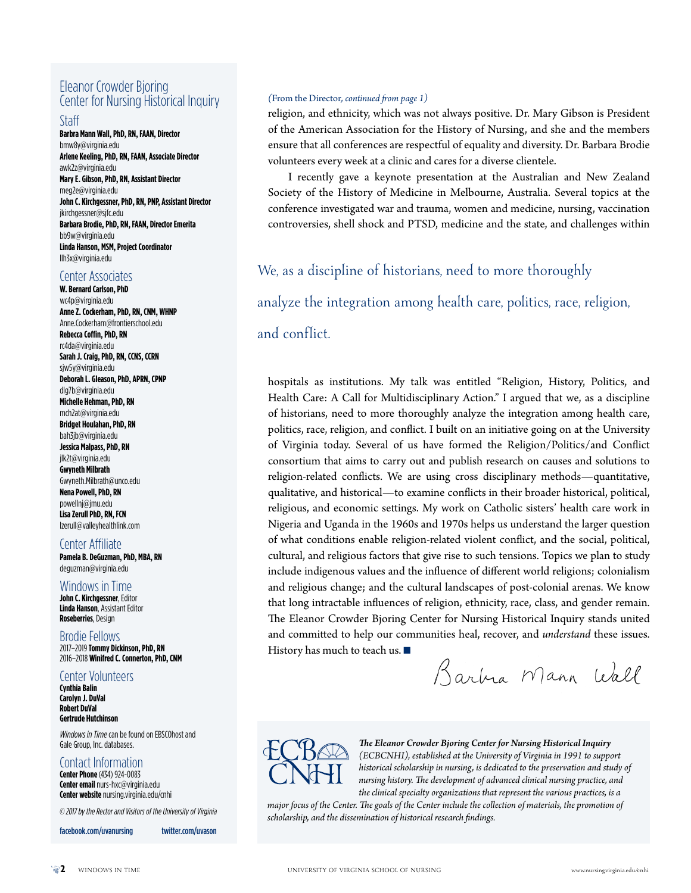#### Eleanor Crowder Bjoring Center for Nursing Historical Inquiry

#### Staff

**Barbra Mann Wall, PhD, RN, FAAN, Director** bmw8y@virginia.edu **Arlene Keeling, PhD, RN, FAAN, Associate Director** awk2z@virginia.edu **Mary E. Gibson, PhD, RN, Assistant Director** meg2e@virginia.edu **John C. Kirchgessner, PhD, RN, PNP, Assistant Director** jkirchgessner@sjfc.edu **Barbara Brodie, PhD, RN, FAAN, Director Emerita** bb9w@virginia.edu **Linda Hanson, MSM, Project Coordinator** llh3x@virginia.edu

#### Center Associates

**W. Bernard Carlson, PhD** wc4p@virginia.edu **Anne Z. Cockerham, PhD, RN, CNM, WHNP** Anne.Cockerham@frontierschool.edu **Rebecca Coffin, PhD, RN** rc4da@virginia.edu **Sarah J. Craig, PhD, RN, CCNS, CCRN** sjw5y@virginia.edu **Deborah L. Gleason, PhD, APRN, CPNP** dlg7b@virginia.edu **Michelle Hehman, PhD, RN** mch2at@virginia.edu **Bridget Houlahan, PhD, RN** bah3jb@virginia.edu **Jessica Malpass, PhD, RN** jlk2t@virginia.edu **Gwyneth Milbrath** Gwyneth.Milbrath@unco.edu **Nena Powell, PhD, RN** powellnj@jmu.edu **Lisa Zerull PhD, RN, FCN** lzerull@valleyhealthlink.com

#### Center Affiliate

**Pamela B. DeGuzman, PhD, MBA, RN** deguzman@virginia.edu

#### Windows in Time

**John C. Kirchgessner**, Editor **Linda Hanson**, Assistant Editor **Roseberries**, Design

Brodie Fellows 2017–2019 **Tommy Dickinson, PhD, RN** 2016–2018 **Winifred C. Connerton, PhD, CNM**

#### Center Volunteers

**Cynthia Balin Carolyn J. DuVal Robert DuVal Gertrude Hutchinson**

*Windows in Time*can be found on EBSCOhost and Gale Group, Inc. databases.

#### Contact Information

**Center Phone** (434) 924-0083 **Center email** nurs-hxc@virginia.edu **Center website** nursing.virginia.edu/cnhi

*© 2017 by the Rector and Visitors of the University of Virginia*

facebook.com/uvanursing twitter.com/uvason

#### *(*From the Director*, continued from page 1)*

religion, and ethnicity, which was not always positive. Dr. Mary Gibson is President of the American Association for the History of Nursing, and she and the members ensure that all conferences are respectful of equality and diversity. Dr. Barbara Brodie volunteers every week at a clinic and cares for a diverse clientele.

I recently gave a keynote presentation at the Australian and New Zealand Society of the History of Medicine in Melbourne, Australia. Several topics at the conference investigated war and trauma, women and medicine, nursing, vaccination controversies, shell shock and PTSD, medicine and the state, and challenges within

#### We, as a discipline of historians, need to more thoroughly

analyze the integration among health care, politics, race, religion,

#### and conflict.

hospitals as institutions. My talk was entitled "Religion, History, Politics, and Health Care: A Call for Multidisciplinary Action." I argued that we, as a discipline of historians, need to more thoroughly analyze the integration among health care, politics, race, religion, and conflict. I built on an initiative going on at the University of Virginia today. Several of us have formed the Religion/Politics/and Conflict consortium that aims to carry out and publish research on causes and solutions to religion-related conflicts. We are using cross disciplinary methods—quantitative, qualitative, and historical—to examine conflicts in their broader historical, political, religious, and economic settings. My work on Catholic sisters' health care work in Nigeria and Uganda in the 1960s and 1970s helps us understand the larger question of what conditions enable religion-related violent conflict, and the social, political, cultural, and religious factors that give rise to such tensions. Topics we plan to study include indigenous values and the influence of different world religions; colonialism and religious change; and the cultural landscapes of post-colonial arenas. We know that long intractable influences of religion, ethnicity, race, class, and gender remain. The Eleanor Crowder Bjoring Center for Nursing Historical Inquiry stands united and committed to help our communities heal, recover, and *understand* these issues. History has much to teach us.  $\blacksquare$ 

Barbia Mann Wall



*The Eleanor Crowder Bjoring Center for Nursing Historical Inquiry (ECBCNHI), established at the University of Virginia in 1991 to support historical scholarship in nursing, is dedicated to the preservation and study of nursing history. The development of advanced clinical nursing practice, and the clinical specialty organizations that represent the various practices, is a* 

*major focus of the Center. The goals of the Center include the collection of materials, the promotion of scholarship, and the dissemination of historical research findings.*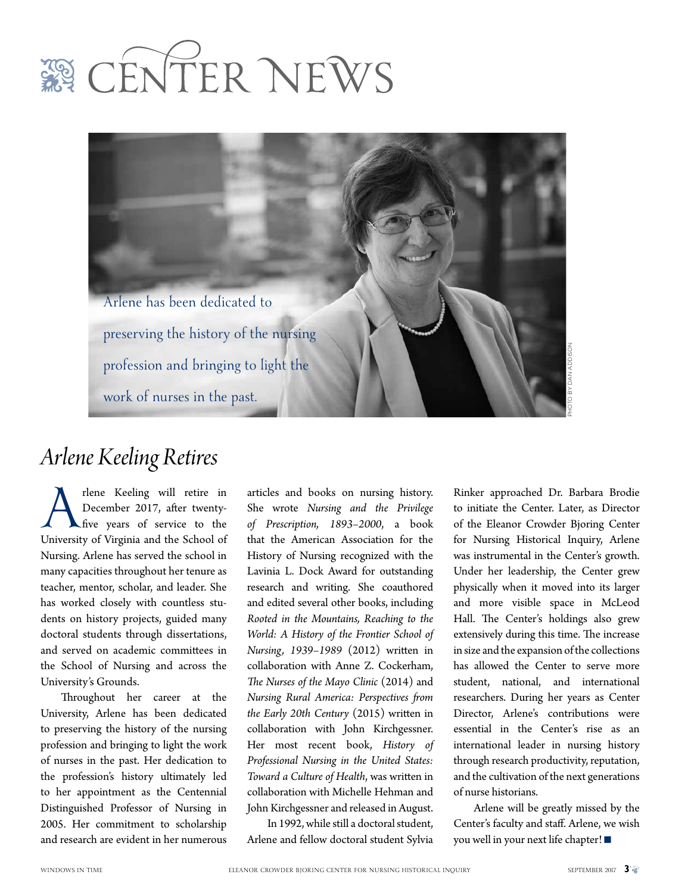



### *Arlene Keeling Retires*

Thene Keeling will retire in<br>December 2017, after twenty-<br>five years of service to the<br>University of Virginia and the School of December 2017, after twenty-**L**five years of service to the Nursing. Arlene has served the school in many capacities throughout her tenure as teacher, mentor, scholar, and leader. She has worked closely with countless students on history projects, guided many doctoral students through dissertations, and served on academic committees in the School of Nursing and across the University's Grounds.

Throughout her career at the University, Arlene has been dedicated to preserving the history of the nursing profession and bringing to light the work of nurses in the past. Her dedication to the profession's history ultimately led to her appointment as the Centennial Distinguished Professor of Nursing in 2005. Her commitment to scholarship and research are evident in her numerous

articles and books on nursing history. She wrote *Nursing and the Privilege of Prescription, 1893–2000*, a book that the American Association for the History of Nursing recognized with the Lavinia L. Dock Award for outstanding research and writing. She coauthored and edited several other books, including *Rooted in the Mountains, Reaching to the World: A History of the Frontier School of Nursing, 1939–1989* (2012) written in collaboration with Anne Z. Cockerham, *The Nurses of the Mayo Clinic* (2014) and *Nursing Rural America: Perspectives from the Early 20th Century* (2015) written in collaboration with John Kirchgessner. Her most recent book, *History of Professional Nursing in the United States: Toward a Culture of Health*, was written in collaboration with Michelle Hehman and John Kirchgessner and released in August.

In 1992, while still a doctoral student, Arlene and fellow doctoral student Sylvia

Rinker approached Dr. Barbara Brodie to initiate the Center. Later, as Director of the Eleanor Crowder Bjoring Center for Nursing Historical Inquiry, Arlene was instrumental in the Center's growth. Under her leadership, the Center grew physically when it moved into its larger and more visible space in McLeod Hall. The Center's holdings also grew extensively during this time. The increase in size and the expansion of the collections has allowed the Center to serve more student, national, and international researchers. During her years as Center Director, Arlene's contributions were essential in the Center's rise as an international leader in nursing history through research productivity, reputation, and the cultivation of the next generations of nurse historians.

Arlene will be greatly missed by the Center's faculty and staff. Arlene, we wish you well in your next life chapter!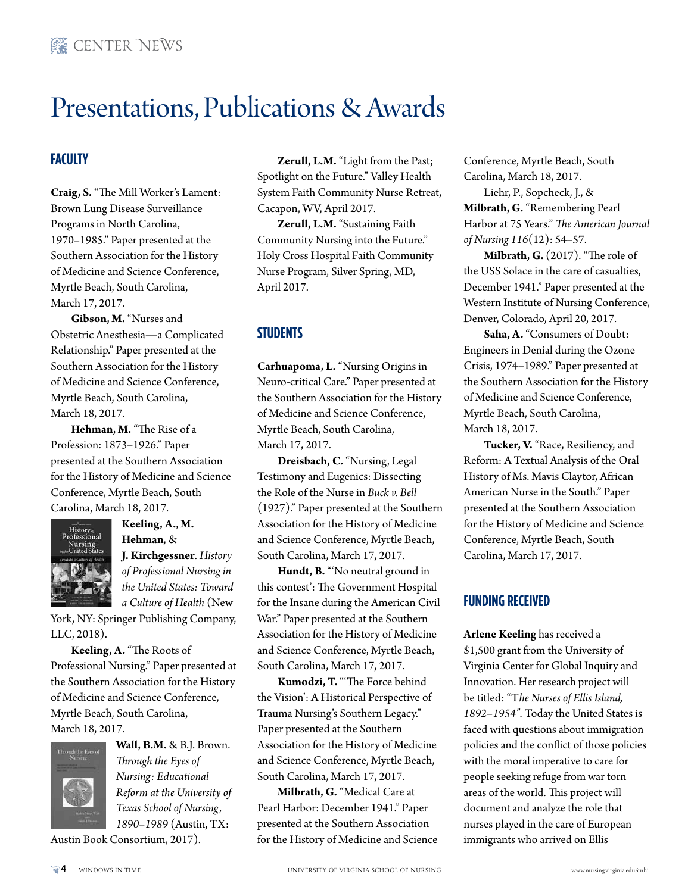### Presentations, Publications & Awards

#### **Faculty**

**Craig, S.** "The Mill Worker's Lament: Brown Lung Disease Surveillance Programs in North Carolina, 1970–1985." Paper presented at the Southern Association for the History of Medicine and Science Conference, Myrtle Beach, South Carolina, March 17, 2017.

**Gibson, M.** "Nurses and Obstetric Anesthesia—a Complicated Relationship." Paper presented at the Southern Association for the History of Medicine and Science Conference, Myrtle Beach, South Carolina, March 18, 2017.

**Hehman, M.** "The Rise of a Profession: 1873–1926." Paper presented at the Southern Association for the History of Medicine and Science Conference, Myrtle Beach, South Carolina, March 18, 2017.



**Keeling, A.**, **M. Hehman**, & **J. Kirchgessner**. *History of Professional Nursing in the United States: Toward a Culture of Health* (New

York, NY: Springer Publishing Company, LLC, 2018).

**Keeling, A.** "The Roots of Professional Nursing." Paper presented at the Southern Association for the History of Medicine and Science Conference, Myrtle Beach, South Carolina, March 18, 2017.



**Wall, B.M.** & B.J. Brown. *Through the Eyes of Nursing: Educational Reform at the University of Texas School of Nursing, 1890–1989* (Austin, TX:

Austin Book Consortium, 2017).

**Zerull, L.M.** "Light from the Past; Spotlight on the Future." Valley Health System Faith Community Nurse Retreat, Cacapon, WV, April 2017.

**Zerull, L.M.** "Sustaining Faith Community Nursing into the Future." Holy Cross Hospital Faith Community Nurse Program, Silver Spring, MD, April 2017.

#### **Students**

**Carhuapoma, L.** "Nursing Origins in Neuro-critical Care." Paper presented at the Southern Association for the History of Medicine and Science Conference, Myrtle Beach, South Carolina, March 17, 2017.

**Dreisbach, C.** "Nursing, Legal Testimony and Eugenics: Dissecting the Role of the Nurse in *Buck v. Bell* (1927)." Paper presented at the Southern Association for the History of Medicine and Science Conference, Myrtle Beach, South Carolina, March 17, 2017.

**Hundt, B.** "'No neutral ground in this contest': The Government Hospital for the Insane during the American Civil War." Paper presented at the Southern Association for the History of Medicine and Science Conference, Myrtle Beach, South Carolina, March 17, 2017.

**Kumodzi, T.** "'The Force behind the Vision': A Historical Perspective of Trauma Nursing's Southern Legacy." Paper presented at the Southern Association for the History of Medicine and Science Conference, Myrtle Beach, South Carolina, March 17, 2017.

**Milbrath, G.** "Medical Care at Pearl Harbor: December 1941." Paper presented at the Southern Association for the History of Medicine and Science Conference, Myrtle Beach, South Carolina, March 18, 2017.

Liehr, P., Sopcheck, J., & **Milbrath, G.** "Remembering Pearl Harbor at 75 Years." *The American Journal of Nursing 116*(12): 54–57.

**Milbrath, G.** (2017). "The role of the USS Solace in the care of casualties, December 1941." Paper presented at the Western Institute of Nursing Conference, Denver, Colorado, April 20, 2017.

**Saha, A.** "Consumers of Doubt: Engineers in Denial during the Ozone Crisis, 1974–1989." Paper presented at the Southern Association for the History of Medicine and Science Conference, Myrtle Beach, South Carolina, March 18, 2017.

**Tucker, V.** "Race, Resiliency, and Reform: A Textual Analysis of the Oral History of Ms. Mavis Claytor, African American Nurse in the South." Paper presented at the Southern Association for the History of Medicine and Science Conference, Myrtle Beach, South Carolina, March 17, 2017.

#### **Funding Received**

**Arlene Keeling** has received a \$1,500 grant from the University of Virginia Center for Global Inquiry and Innovation. Her research project will be titled: "T*he Nurses of Ellis Island, 1892–1954".* Today the United States is faced with questions about immigration policies and the conflict of those policies with the moral imperative to care for people seeking refuge from war torn areas of the world. This project will document and analyze the role that nurses played in the care of European immigrants who arrived on Ellis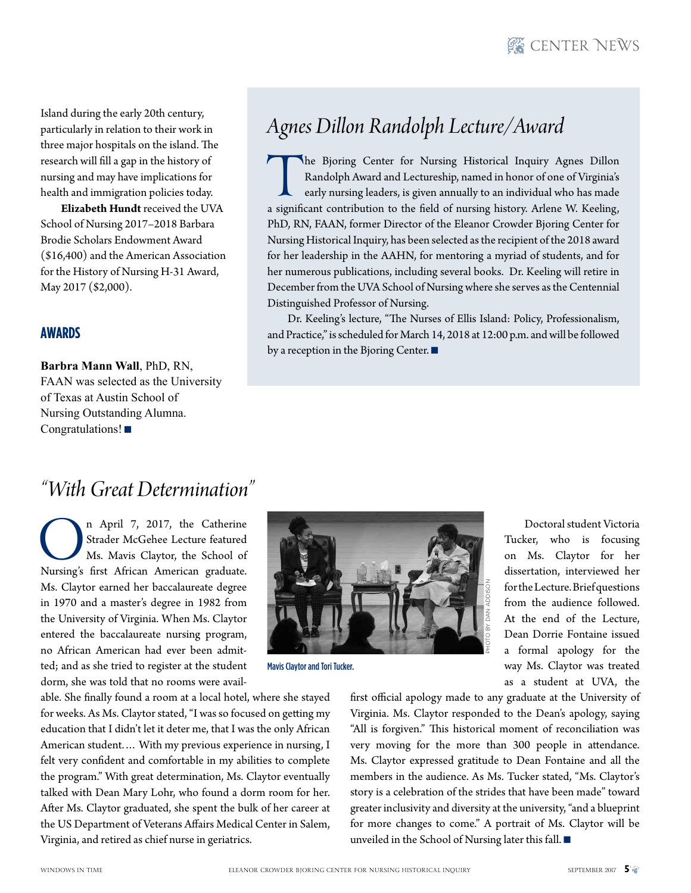Island during the early 20th century, particularly in relation to their work in three major hospitals on the island. The research will fill a gap in the history of nursing and may have implications for health and immigration policies today.

**Elizabeth Hundt** received the UVA School of Nursing 2017–2018 Barbara Brodie Scholars Endowment Award (\$16,400) and the American Association for the History of Nursing H-31 Award, May 2017 (\$2,000).

#### **Awards**

**Barbra Mann Wall**, PhD, RN, FAAN was selected as the University of Texas at Austin School of Nursing Outstanding Alumna. Congratulations! $\blacksquare$ 

### *Agnes Dillon Randolph Lecture/Award*

The Bjoring Center for Nursing Historical Inquiry Agnes Dillon Randolph Award and Lectureship, named in honor of one of Virginia's early nursing leaders, is given annually to an individual who has made a significant contri Randolph Award and Lectureship, named in honor of one of Virginia's early nursing leaders, is given annually to an individual who has made PhD, RN, FAAN, former Director of the Eleanor Crowder Bjoring Center for Nursing Historical Inquiry, has been selected as the recipient of the 2018 award for her leadership in the AAHN, for mentoring a myriad of students, and for her numerous publications, including several books. Dr. Keeling will retire in December from the UVA School of Nursing where she serves as the Centennial Distinguished Professor of Nursing.

Dr. Keeling's lecture, "The Nurses of Ellis Island: Policy, Professionalism, and Practice," is scheduled for March 14, 2018 at 12:00 p.m. and will be followed by a reception in the Bjoring Center.  $\blacksquare$ 

### *"With Great Determination"*

On April 7, 2017, the Catherine<br>Strader McGehee Lecture featured<br>Ms. Mavis Claytor, the School of<br>Nursing's first African American graduate. Strader McGehee Lecture featured Ms. Mavis Claytor, the School of Ms. Claytor earned her baccalaureate degree in 1970 and a master's degree in 1982 from the University of Virginia. When Ms. Claytor entered the baccalaureate nursing program, no African American had ever been admitted; and as she tried to register at the student dorm, she was told that no rooms were avail-

able. She finally found a room at a local hotel, where she stayed for weeks. As Ms. Claytor stated, "I was so focused on getting my education that I didn't let it deter me, that I was the only African American student.… With my previous experience in nursing, I felt very confident and comfortable in my abilities to complete the program." With great determination, Ms. Claytor eventually talked with Dean Mary Lohr, who found a dorm room for her. After Ms. Claytor graduated, she spent the bulk of her career at the US Department of Veterans Affairs Medical Center in Salem, Virginia, and retired as chief nurse in geriatrics.



Mavis Claytor and Tori Tucker.

Doctoral student Victoria Tucker, who is focusing on Ms. Claytor for her dissertation, interviewed her for the Lecture. Brief questions from the audience followed. At the end of the Lecture, Dean Dorrie Fontaine issued a formal apology for the way Ms. Claytor was treated as a student at UVA, the

first official apology made to any graduate at the University of Virginia. Ms. Claytor responded to the Dean's apology, saying "All is forgiven." This historical moment of reconciliation was very moving for the more than 300 people in attendance. Ms. Claytor expressed gratitude to Dean Fontaine and all the members in the audience. As Ms. Tucker stated, "Ms. Claytor's story is a celebration of the strides that have been made" toward greater inclusivity and diversity at the university, "and a blueprint for more changes to come." A portrait of Ms. Claytor will be unveiled in the School of Nursing later this fall.  $\blacksquare$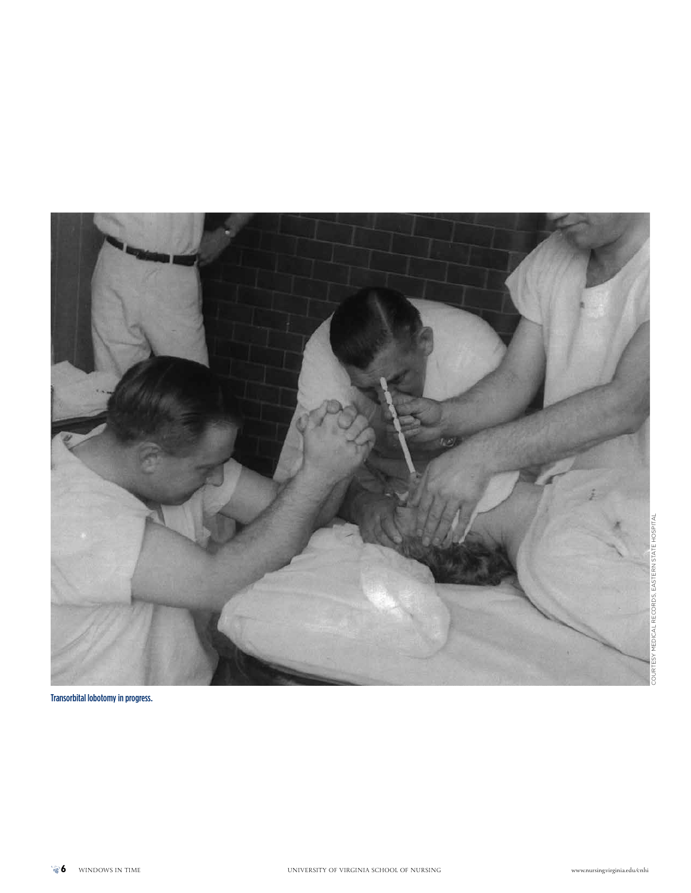

Transorbital lobotomy in progress.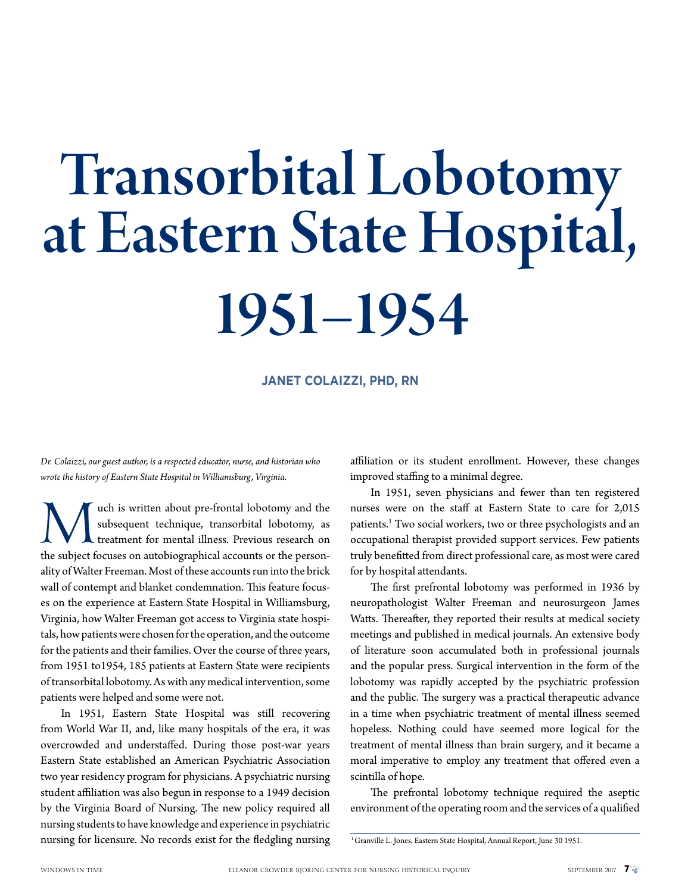# Transorbital Lobotomy at Eastern State Hospital, 1951–1954

**Janet Colaizzi, PhD, RN**

*Dr. Colaizzi, our guest author, is a respected educator, nurse, and historian who wrote the history of Eastern State Hospital in Williamsburg, Virginia.* 

We uch is written about pre-frontal lobotomy and the subsequent technique, transorbital lobotomy, as treatment for mental illness. Previous research on the subject focuses on autobiographical accounts or the personsubsequent technique, transorbital lobotomy, as treatment for mental illness. Previous research on the subject focuses on autobiographical accounts or the personality of Walter Freeman. Most of these accounts run into the brick wall of contempt and blanket condemnation. This feature focuses on the experience at Eastern State Hospital in Williamsburg, Virginia, how Walter Freeman got access to Virginia state hospitals, how patients were chosen for the operation, and the outcome for the patients and their families. Over the course of three years, from 1951 to1954, 185 patients at Eastern State were recipients of transorbital lobotomy. As with any medical intervention, some patients were helped and some were not.

In 1951, Eastern State Hospital was still recovering from World War II, and, like many hospitals of the era, it was overcrowded and understaffed. During those post-war years Eastern State established an American Psychiatric Association two year residency program for physicians. A psychiatric nursing student affiliation was also begun in response to a 1949 decision by the Virginia Board of Nursing. The new policy required all nursing students to have knowledge and experience in psychiatric nursing for licensure. No records exist for the fledgling nursing affiliation or its student enrollment. However, these changes improved staffing to a minimal degree.

In 1951, seven physicians and fewer than ten registered nurses were on the staff at Eastern State to care for 2,015 patients.<sup>1</sup> Two social workers, two or three psychologists and an occupational therapist provided support services. Few patients truly benefitted from direct professional care, as most were cared for by hospital attendants.

The first prefrontal lobotomy was performed in 1936 by neuropathologist Walter Freeman and neurosurgeon James Watts. Thereafter, they reported their results at medical society meetings and published in medical journals. An extensive body of literature soon accumulated both in professional journals and the popular press. Surgical intervention in the form of the lobotomy was rapidly accepted by the psychiatric profession and the public. The surgery was a practical therapeutic advance in a time when psychiatric treatment of mental illness seemed hopeless. Nothing could have seemed more logical for the treatment of mental illness than brain surgery, and it became a moral imperative to employ any treatment that offered even a scintilla of hope.

The prefrontal lobotomy technique required the aseptic environment of the operating room and the services of a qualified

<sup>&</sup>lt;sup>1</sup> Granville L. Jones, Eastern State Hospital, Annual Report, June 30 1951.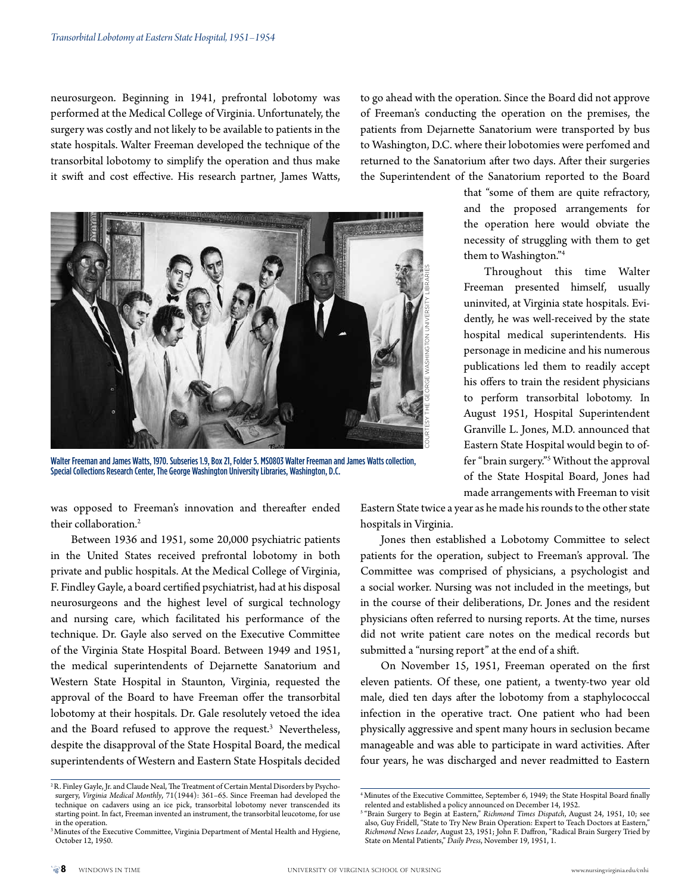neurosurgeon. Beginning in 1941, prefrontal lobotomy was performed at the Medical College of Virginia. Unfortunately, the surgery was costly and not likely to be available to patients in the state hospitals. Walter Freeman developed the technique of the transorbital lobotomy to simplify the operation and thus make it swift and cost effective. His research partner, James Watts,

to go ahead with the operation. Since the Board did not approve of Freeman's conducting the operation on the premises, the patients from Dejarnette Sanatorium were transported by bus to Washington, D.C. where their lobotomies were perfomed and returned to the Sanatorium after two days. After their surgeries the Superintendent of the Sanatorium reported to the Board



Walter Freeman and James Watts, 1970. Subseries 1.9, Box 21, Folder 5. MS0803 Walter Freeman and James Watts collection, Special Collections Research Center, The George Washington University Libraries, Washington, D.C.

was opposed to Freeman's innovation and thereafter ended their collaboration.<sup>2</sup>

Between 1936 and 1951, some 20,000 psychiatric patients in the United States received prefrontal lobotomy in both private and public hospitals. At the Medical College of Virginia, F. Findley Gayle, a board certified psychiatrist, had at his disposal neurosurgeons and the highest level of surgical technology and nursing care, which facilitated his performance of the technique. Dr. Gayle also served on the Executive Committee of the Virginia State Hospital Board. Between 1949 and 1951, the medical superintendents of Dejarnette Sanatorium and Western State Hospital in Staunton, Virginia, requested the approval of the Board to have Freeman offer the transorbital lobotomy at their hospitals. Dr. Gale resolutely vetoed the idea and the Board refused to approve the request.<sup>3</sup> Nevertheless, despite the disapproval of the State Hospital Board, the medical superintendents of Western and Eastern State Hospitals decided that "some of them are quite refractory, and the proposed arrangements for the operation here would obviate the necessity of struggling with them to get them to Washington."4

Throughout this time Walter Freeman presented himself, usually uninvited, at Virginia state hospitals. Evidently, he was well-received by the state hospital medical superintendents. His personage in medicine and his numerous publications led them to readily accept his offers to train the resident physicians to perform transorbital lobotomy. In August 1951, Hospital Superintendent Granville L. Jones, M.D. announced that Eastern State Hospital would begin to offer "brain surgery."5 Without the approval of the State Hospital Board, Jones had made arrangements with Freeman to visit

Eastern State twice a year as he made his rounds to the other state hospitals in Virginia.

Jones then established a Lobotomy Committee to select patients for the operation, subject to Freeman's approval. The Committee was comprised of physicians, a psychologist and a social worker. Nursing was not included in the meetings, but in the course of their deliberations, Dr. Jones and the resident physicians often referred to nursing reports. At the time, nurses did not write patient care notes on the medical records but submitted a "nursing report" at the end of a shift.

On November 15, 1951, Freeman operated on the first eleven patients. Of these, one patient, a twenty-two year old male, died ten days after the lobotomy from a staphylococcal infection in the operative tract. One patient who had been physically aggressive and spent many hours in seclusion became manageable and was able to participate in ward activities. After four years, he was discharged and never readmitted to Eastern

<sup>&</sup>lt;sup>2</sup> R. Finley Gayle, Jr. and Claude Neal, The Treatment of Certain Mental Disorders by Psychosurgery, *Virginia Medical Monthly*, 71(1944): 361–65. Since Freeman had developed the technique on cadavers using an ice pick, transorbital lobotomy never transcended its starting point. In fact, Freeman invented an instrument, the transorbital leucotome, for use in the operation.

<sup>&</sup>lt;sup>3</sup> Minutes of the Executive Committee, Virginia Department of Mental Health and Hygiene, October 12, 1950.

<sup>4</sup> Minutes of the Executive Committee, September 6, 1949; the State Hospital Board finally

relented and established a policy announced on December 14, 1952. 5 "Brain Surgery to Begin at Eastern," *Richmond Times Dispatch*, August 24, 1951, 10; see also, Guy Fridell, "State to Try New Brain Operation: Expert to Teach Doctors at Eastern," *Richmond News Leader*, August 23, 1951; John F. Daffron, "Radical Brain Surgery Tried by State on Mental Patients," *Daily Press*, November 19, 1951, 1.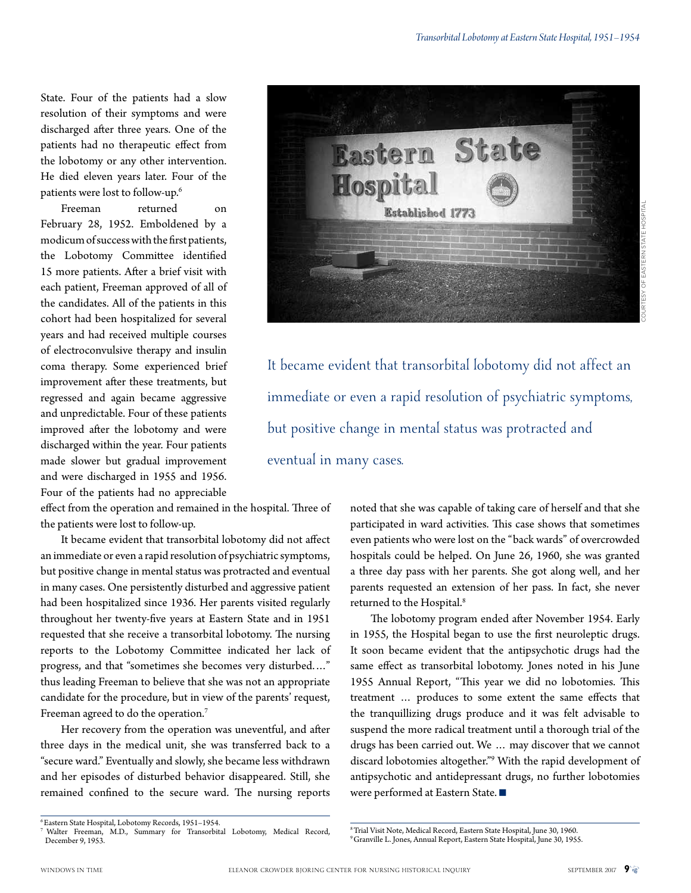Courtesy of Eastern State Hospital

State. Four of the patients had a slow resolution of their symptoms and were discharged after three years. One of the patients had no therapeutic effect from the lobotomy or any other intervention. He died eleven years later. Four of the patients were lost to follow-up.6

Freeman returned on February 28, 1952. Emboldened by a modicum of success with the first patients, the Lobotomy Committee identified 15 more patients. After a brief visit with each patient, Freeman approved of all of the candidates. All of the patients in this cohort had been hospitalized for several years and had received multiple courses of electroconvulsive therapy and insulin coma therapy. Some experienced brief improvement after these treatments, but regressed and again became aggressive and unpredictable. Four of these patients improved after the lobotomy and were discharged within the year. Four patients made slower but gradual improvement and were discharged in 1955 and 1956. Four of the patients had no appreciable

effect from the operation and remained in the hospital. Three of the patients were lost to follow-up.

It became evident that transorbital lobotomy did not affect an immediate or even a rapid resolution of psychiatric symptoms, but positive change in mental status was protracted and eventual in many cases. One persistently disturbed and aggressive patient had been hospitalized since 1936. Her parents visited regularly throughout her twenty-five years at Eastern State and in 1951 requested that she receive a transorbital lobotomy. The nursing reports to the Lobotomy Committee indicated her lack of progress, and that "sometimes she becomes very disturbed.…" thus leading Freeman to believe that she was not an appropriate candidate for the procedure, but in view of the parents' request, Freeman agreed to do the operation.<sup>7</sup>

Her recovery from the operation was uneventful, and after three days in the medical unit, she was transferred back to a "secure ward." Eventually and slowly, she became less withdrawn and her episodes of disturbed behavior disappeared. Still, she remained confined to the secure ward. The nursing reports

It became evident that transorbital lobotomy did not affect an immediate or even a rapid resolution of psychiatric symptoms, but positive change in mental status was protracted and eventual in many cases.

> noted that she was capable of taking care of herself and that she participated in ward activities. This case shows that sometimes even patients who were lost on the "back wards" of overcrowded hospitals could be helped. On June 26, 1960, she was granted a three day pass with her parents. She got along well, and her parents requested an extension of her pass. In fact, she never returned to the Hospital.<sup>8</sup>

> The lobotomy program ended after November 1954. Early in 1955, the Hospital began to use the first neuroleptic drugs. It soon became evident that the antipsychotic drugs had the same effect as transorbital lobotomy. Jones noted in his June 1955 Annual Report, "This year we did no lobotomies. This treatment … produces to some extent the same effects that the tranquillizing drugs produce and it was felt advisable to suspend the more radical treatment until a thorough trial of the drugs has been carried out. We … may discover that we cannot discard lobotomies altogether."9 With the rapid development of antipsychotic and antidepressant drugs, no further lobotomies were performed at Eastern State.

<sup>8</sup> Trial Visit Note, Medical Record, Eastern State Hospital, June 30, 1960.<br><sup>9</sup> Granville L. Jones, Annual Report, Eastern State Hospital, June 30, 1955.

**State** Eastern **Hospital Established 1773** 

<sup>6</sup> Eastern State Hospital, Lobotomy Records, 1951–1954.

<sup>7</sup> Walter Freeman, M.D., Summary for Transorbital Lobotomy, Medical Record, December 9, 1953.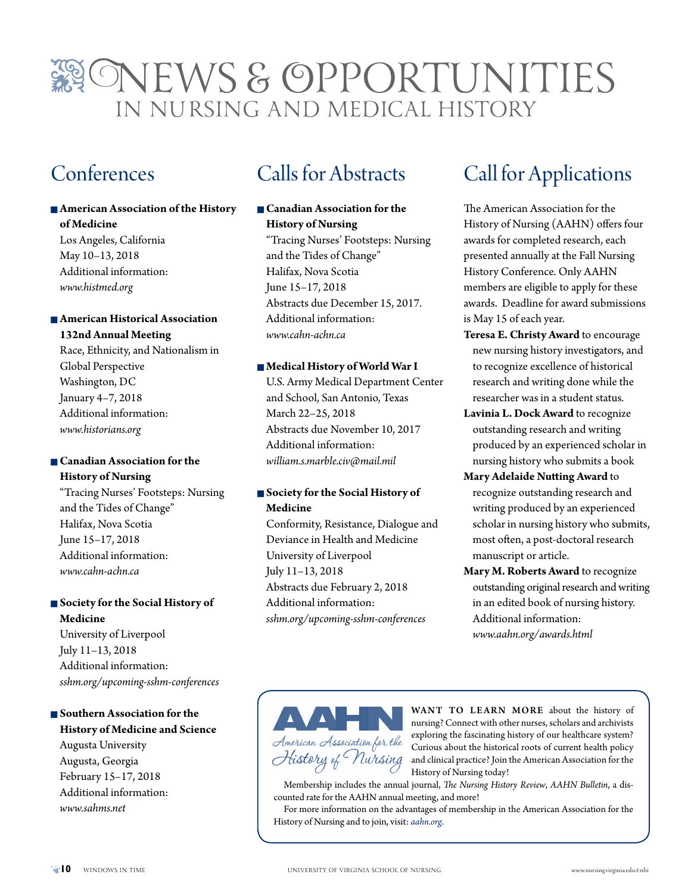### ONEWS & OPPORTUNITIES in Nursing and Medical History

### Conferences

#### $\blacksquare$  **American Association of the History of Medicine**

Los Angeles, California May 10–13, 2018 Additional information: *www.histmed.org*

#### **■ American Historical Association 132nd Annual Meeting**

Race, Ethnicity, and Nationalism in Global Perspective Washington, DC January 4–7, 2018 Additional information: *www.historians.org*

#### **n** Canadian Association for the **History of Nursing**

"Tracing Nurses' Footsteps: Nursing and the Tides of Change" Halifax, Nova Scotia June 15–17, 2018 Additional information: *www.cahn-achn.ca*

#### $\blacksquare$  Society for the Social History of **Medicine**

University of Liverpool July 11–13, 2018 Additional information: *sshm.org/upcoming-sshm-conferences*

#### **n** Southern Association for the **History of Medicine and Science** Augusta University Augusta, Georgia February 15–17, 2018

Additional information: *www.sahms.net*

### Calls for Abstracts

#### **n** Canadian Association for the **History of Nursing**

"Tracing Nurses' Footsteps: Nursing and the Tides of Change" Halifax, Nova Scotia June 15–17, 2018 Abstracts due December 15, 2017. Additional information: *www.cahn-achn.ca*

#### n **Medical History of World War I**

U.S. Army Medical Department Center and School, San Antonio, Texas March 22–25, 2018 Abstracts due November 10, 2017 Additional information: *william.s.marble.civ@mail.mil*

#### $\blacksquare$  **Society for the Social History of Medicine**

Conformity, Resistance, Dialogue and Deviance in Health and Medicine University of Liverpool July 11–13, 2018 Abstracts due February 2, 2018 Additional information: *sshm.org/upcoming-sshm-conferences*

### Call for Applications

The American Association for the History of Nursing (AAHN) offers four awards for completed research, each presented annually at the Fall Nursing History Conference. Only AAHN members are eligible to apply for these awards. Deadline for award submissions is May 15 of each year.

- **Teresa E. Christy Award** to encourage new nursing history investigators, and to recognize excellence of historical research and writing done while the researcher was in a student status.
- **Lavinia L. Dock Award** to recognize outstanding research and writing produced by an experienced scholar in nursing history who submits a book
- **Mary Adelaide Nutting Award** to recognize outstanding research and writing produced by an experienced scholar in nursing history who submits, most often, a post-doctoral research manuscript or article.
- **Mary M. Roberts Award** to recognize outstanding original research and writing in an edited book of nursing history. Additional information: *www.aahn.org/awards.html*



WANT TO LEARN MORE about the history of nursing? Connect with other nurses, scholars and archivists exploring the fascinating history of our healthcare system? Curious about the historical roots of current health policy and clinical practice? Join the American Association for the History of Nursing today!

Membership includes the annual journal, *The Nursing History Review*, *AAHN Bulletin*, a discounted rate for the AAHN annual meeting, and more!

For more information on the advantages of membership in the American Association for the History of Nursing and to join, visit: *aahn.org*.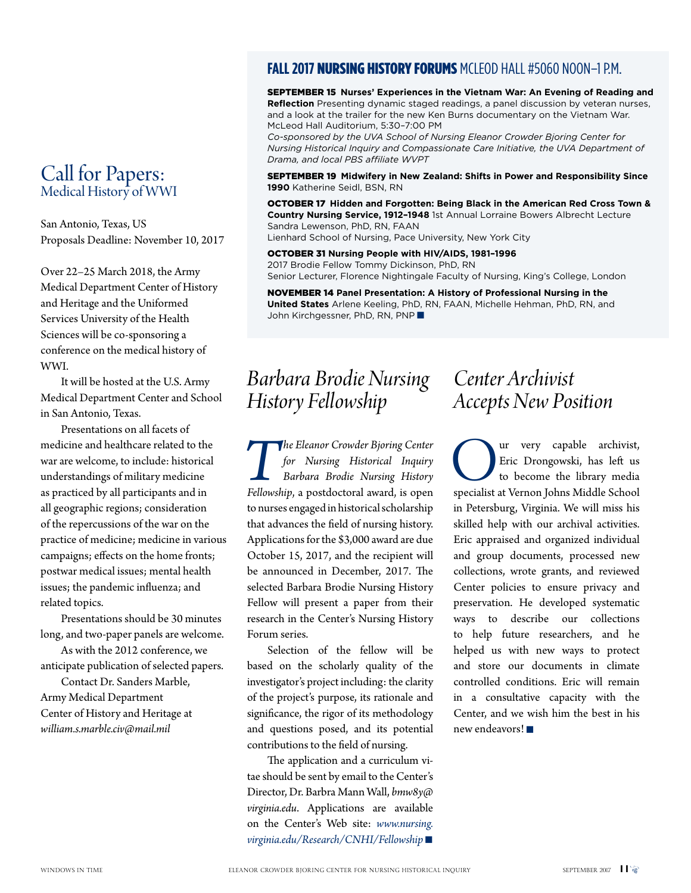#### Call for Papers: Medical History of WWI

San Antonio, Texas, US Proposals Deadline: November 10, 2017

Over 22–25 March 2018, the Army Medical Department Center of History and Heritage and the Uniformed Services University of the Health Sciences will be co-sponsoring a conference on the medical history of WWI.

It will be hosted at the U.S. Army Medical Department Center and School in San Antonio, Texas.

Presentations on all facets of medicine and healthcare related to the war are welcome, to include: historical understandings of military medicine as practiced by all participants and in all geographic regions; consideration of the repercussions of the war on the practice of medicine; medicine in various campaigns; effects on the home fronts; postwar medical issues; mental health issues; the pandemic influenza; and related topics.

Presentations should be 30 minutes long, and two-paper panels are welcome.

As with the 2012 conference, we anticipate publication of selected papers.

Contact Dr. Sanders Marble, Army Medical Department Center of History and Heritage at *william.s.marble.civ@mail.mil*

#### **FALL 2017 NURSING HISTORY FORUMS** MCLEOD HALL #5060 NOON-1 P.M.

September 15 **Nurses' Experiences in the Vietnam War: An Evening of Reading and Reflection** Presenting dynamic staged readings, a panel discussion by veteran nurses, and a look at the trailer for the new Ken Burns documentary on the Vietnam War. McLeod Hall Auditorium, 5:30–7:00 PM

*Co-sponsored by the UVA School of Nursing Eleanor Crowder Bjoring Center for Nursing Historical Inquiry and Compassionate Care Initiative, the UVA Department of Drama, and local PBS affiliate WVPT* 

September 19 **Midwifery in New Zealand: Shifts in Power and Responsibility Since 1990** Katherine Seidl, BSN, RN

OCTOBER 17 Hidden and Forgotten: Being Black in the American Red Cross Town & **Country Nursing Service, 1912–1948** 1st Annual Lorraine Bowers Albrecht Lecture Sandra Lewenson, PhD, RN, FAAN Lienhard School of Nursing, Pace University, New York City

October 31 **Nursing People with HIV/AIDS, 1981–1996** 2017 Brodie Fellow Tommy Dickinson, PhD, RN

Senior Lecturer, Florence Nightingale Faculty of Nursing, King's College, London

November 14 **Panel Presentation: A History of Professional Nursing in the United States** Arlene Keeling, PhD, RN, FAAN, Michelle Hehman, PhD, RN, and John Kirchgessner, PhD, RN, PNP

### *Barbara Brodie Nursing History Fellowship*

**The Eleanor Crowder Bjoring Center** for Nursing Historical Inquiry Barbara Brodie Nursing History Fellowship, a postdoctoral award, is open *for Nursing Historical Inquiry Barbara Brodie Nursing History*  to nurses engaged in historical scholarship that advances the field of nursing history. Applications for the \$3,000 award are due October 15, 2017, and the recipient will be announced in December, 2017. The selected Barbara Brodie Nursing History Fellow will present a paper from their research in the Center's Nursing History Forum series.

Selection of the fellow will be based on the scholarly quality of the investigator's project including: the clarity of the project's purpose, its rationale and significance, the rigor of its methodology and questions posed, and its potential contributions to the field of nursing.

The application and a curriculum vitae should be sent by email to the Center's Director, Dr. Barbra Mann Wall, *bmw8y@ virginia.edu*. Applications are available on the Center's Web site: *www.nursing.*  $virgini a.edu/Research/CNHI/Fellowship$ 

### *Center Archivist Accepts New Position*

**OUR EXECUTE AND SURFER CONTROLLED SURFERENCE SURFERENCE SPECIAL SPECIAL SPECIAL SPECIAL SPECIAL SPECIAL SPECIAL SPECIAL SPECIAL SPECIAL SPECIAL SPECIAL SPECIAL SPECIAL SPECIAL SPECIAL SPECIAL SPECIAL SPECIAL SPECIAL SPECI** Eric Drongowski, has left us to become the library media in Petersburg, Virginia. We will miss his skilled help with our archival activities. Eric appraised and organized individual and group documents, processed new collections, wrote grants, and reviewed Center policies to ensure privacy and preservation. He developed systematic ways to describe our collections to help future researchers, and he helped us with new ways to protect and store our documents in climate controlled conditions. Eric will remain in a consultative capacity with the Center, and we wish him the best in his new endeavors! $\blacksquare$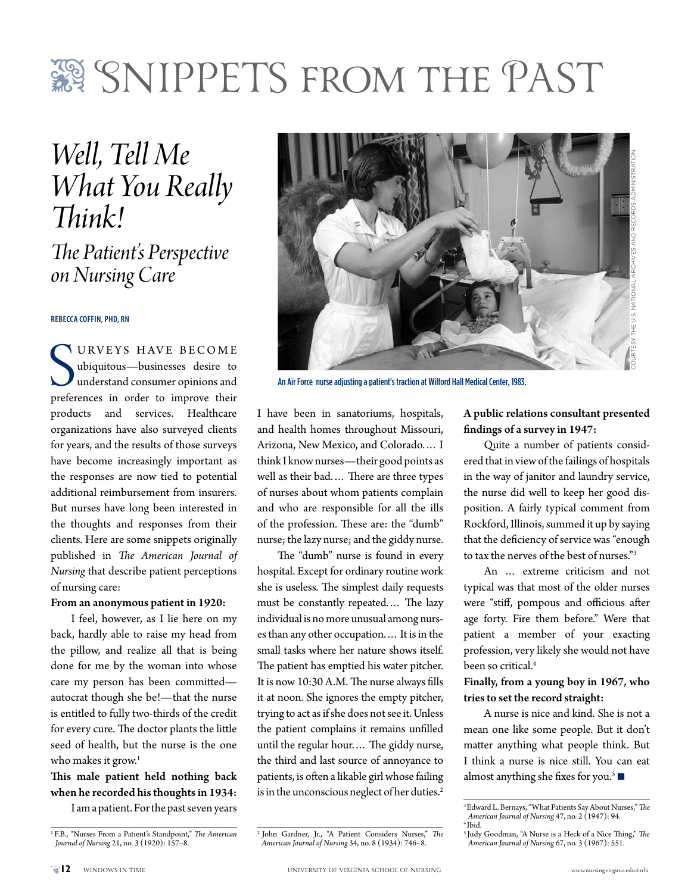## SNIPPETS FROM THE PAST

*Well, Tell Me What You Really Think!*

*The Patient's Perspective on Nursing Care* 

**Rebecca Coffin, PhD, RN**

URVETS HAVE BECOME<br>
ubiquitous—businesses desire to<br>
understand consumer opinions and<br>
preferences in order to improve their **VURVEYS HAVE BECOME** ubiquitous—businesses desire to understand consumer opinions and products and services. Healthcare organizations have also surveyed clients for years, and the results of those surveys have become increasingly important as the responses are now tied to potential additional reimbursement from insurers. But nurses have long been interested in the thoughts and responses from their clients. Here are some snippets originally published in *The American Journal of Nursing* that describe patient perceptions of nursing care:

#### From an anonymous patient in 1920:

I feel, however, as I lie here on my back, hardly able to raise my head from the pillow, and realize all that is being done for me by the woman into whose care my person has been committed autocrat though she be!—that the nurse is entitled to fully two-thirds of the credit for every cure. The doctor plants the little seed of health, but the nurse is the one who makes it grow. $1$ 

#### This male patient held nothing back when he recorded his thoughts in 1934:

I am a patient. For the past seven years



An Air Force nurse adjusting a patient's traction at Wilford Hall Medical Center, 1983.

I have been in sanatoriums, hospitals, and health homes throughout Missouri, Arizona, New Mexico, and Colorado.… I think I know nurses—their good points as well as their bad.… There are three types of nurses about whom patients complain and who are responsible for all the ills of the profession. These are: the "dumb" nurse; the lazy nurse; and the giddy nurse.

The "dumb" nurse is found in every hospital. Except for ordinary routine work she is useless. The simplest daily requests must be constantly repeated.… The lazy individual is no more unusual among nurses than any other occupation.… It is in the small tasks where her nature shows itself. The patient has emptied his water pitcher. It is now 10:30 A.M. The nurse always fills it at noon. She ignores the empty pitcher, trying to act as if she does not see it. Unless the patient complains it remains unfilled until the regular hour.… The giddy nurse, the third and last source of annoyance to patients, is often a likable girl whose failing is in the unconscious neglect of her duties.<sup>2</sup>

#### A public relations consultant presented findings of a survey in 1947:

Quite a number of patients considered that in view of the failings of hospitals in the way of janitor and laundry service, the nurse did well to keep her good disposition. A fairly typical comment from Rockford, Illinois, summed it up by saying that the deficiency of service was "enough to tax the nerves of the best of nurses."3

An … extreme criticism and not typical was that most of the older nurses were "stiff, pompous and officious after age forty. Fire them before." Were that patient a member of your exacting profession, very likely she would not have been so critical.<sup>4</sup>

#### Finally, from a young boy in 1967, who tries to set the record straight:

A nurse is nice and kind. She is not a mean one like some people. But it don't matter anything what people think. But I think a nurse is nice still. You can eat almost anything she fixes for you.<sup>5</sup>

2 John Gardner, Jr., "A Patient Considers Nurses," *The American Journal of Nursing* 34, no. 8 (1934): 746–8.

<sup>1</sup> F.B., "Nurses From a Patient's Standpoint," *The American Journal of Nursing* 21, no. 3 (1920): 157–8.

<sup>3</sup> Edward L. Bernays, "What Patients Say About Nurses," *The American Journal of Nursing* 47, no. 2 (1947): 94. 4 Ibid.

<sup>5</sup> Judy Goodman, "A Nurse is a Heck of a Nice Thing," *The American Journal of Nursing* 67, no. 3 (1967): 551.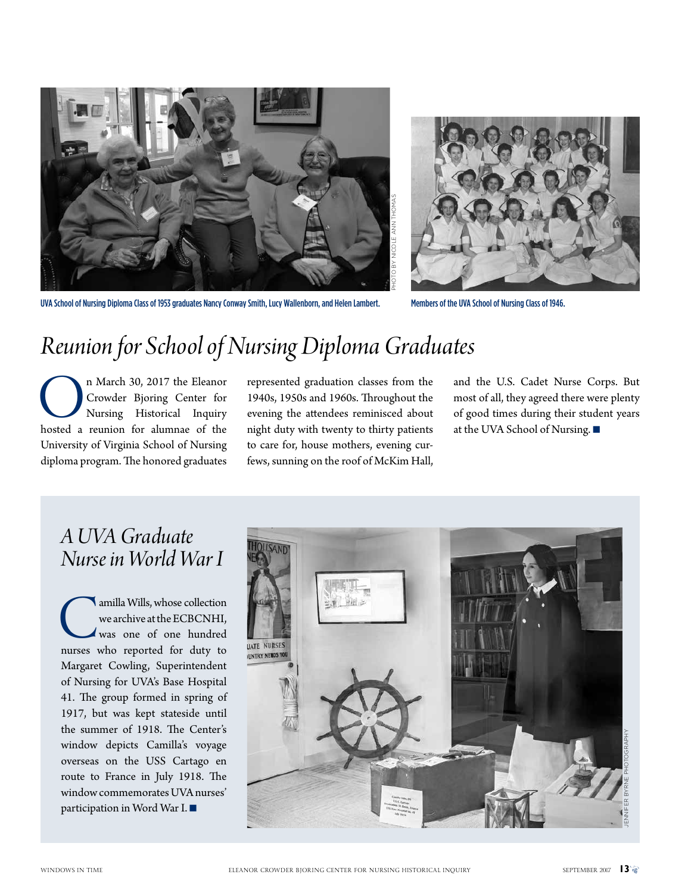



### *Reunion for School of Nursing Diploma Graduates*

On March 30, 2017 the Eleanor<br>Crowder Bjoring Center for<br>Nursing Historical Inquiry<br>hosted a reunion for alumnae of the Crowder Bjoring Center for Nursing Historical Inquiry University of Virginia School of Nursing diploma program. The honored graduates

represented graduation classes from the 1940s, 1950s and 1960s. Throughout the evening the attendees reminisced about night duty with twenty to thirty patients to care for, house mothers, evening curfews, sunning on the roof of McKim Hall, and the U.S. Cadet Nurse Corps. But most of all, they agreed there were plenty of good times during their student years at the UVA School of Nursing.  $\blacksquare$ 

### *A UVA Graduate Nurse in World War I*

amilla Wills, whose collection<br>we archive at the ECBCNHI,<br>was one of one hundred<br>nurses who reported for duty to we archive at the ECBCNHI, was one of one hundred Margaret Cowling, Superintendent of Nursing for UVA's Base Hospital 41. The group formed in spring of 1917, but was kept stateside until the summer of 1918. The Center's window depicts Camilla's voyage overseas on the USS Cartago en route to France in July 1918. The window commemorates UVA nurses' participation in Word War I. $\blacksquare$ 

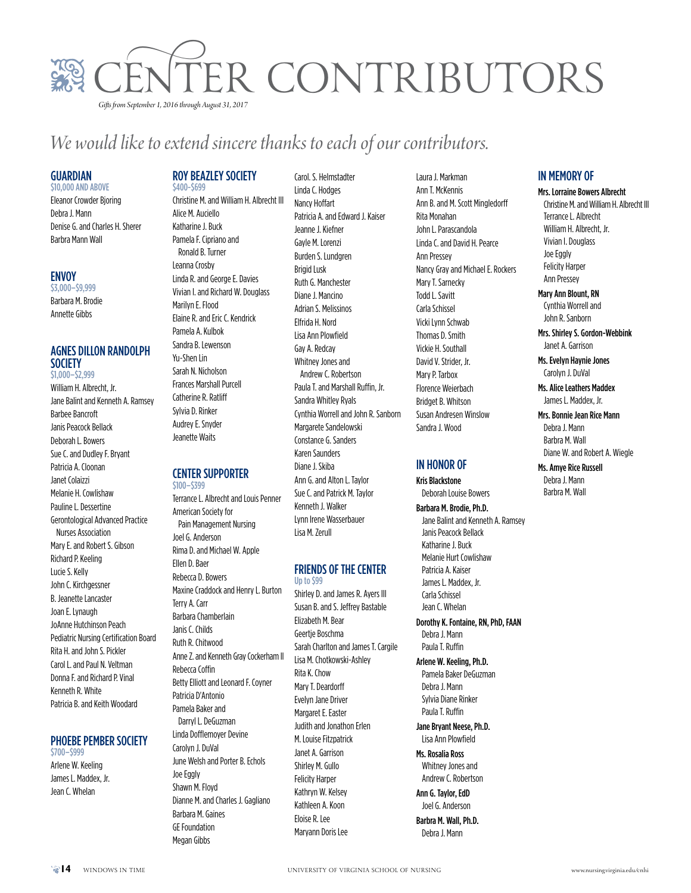

### *We would like to extend sincere thanks to each of our contributors.*

#### **GUARDIAN**

#### \$10,000 and above

Eleanor Crowder Bjoring Debra J. Mann Denise G. and Charles H. Sherer Barbra Mann Wall

#### Envoy

\$3,000–\$9,999 Barbara M. Brodie Annette Gibbs

#### Agnes Dillon Randolph **SOCIETY** \$1,000–\$2,999

William H. Albrecht, Jr. Jane Balint and Kenneth A. Ramsey Barbee Bancroft Janis Peacock Bellack Deborah L. Bowers Sue C. and Dudley F. Bryant Patricia A. Cloonan Janet Colaizzi Melanie H. Cowlishaw Pauline L. Dessertine Gerontological Advanced Practice Nurses Association Mary E. and Robert S. Gibson Richard P. Keeling Lucie S. Kelly John C. Kirchgessner B. Jeanette Lancaster Joan E. Lynaugh JoAnne Hutchinson Peach Pediatric Nursing Certification Board Rita H. and John S. Pickler Carol L. and Paul N. Veltman Donna F. and Richard P. Vinal Kenneth R. White Patricia B. and Keith Woodard

#### PHOEBE PEMBER SOCIETY

\$700–\$999 Arlene W. Keeling James L. Maddex, Jr. Jean C. Whelan

#### ROY BEAZLEY SOCIETY \$400-\$699

Christine M. and William H. Albrecht III Alice M. Auciello Katharine J. Buck Pamela F. Cipriano and Ronald B. Turner Leanna Crosby Linda R. and George E. Davies Vivian I. and Richard W. Douglass Marilyn E. Flood Elaine R. and Eric C. Kendrick Pamela A. Kulbok Sandra B. Lewenson Yu-Shen Lin Sarah N. Nicholson Frances Marshall Purcell Catherine R. Ratliff Sylvia D. Rinker Audrey E. Snyder

#### **CENTER SUPPORTER** \$100–\$399

Jeanette Waits

Terrance L. Albrecht and Louis Penner American Society for Pain Management Nursing Joel G. Anderson Rima D. and Michael W. Apple Ellen D. Baer Rebecca D. Bowers Maxine Craddock and Henry L. Burton Terry A. Carr Barbara Chamberlain Janis C. Childs Ruth R. Chitwood Anne Z. and Kenneth Gray Cockerham II Rebecca Coffin Betty Elliott and Leonard F. Coyner Patricia D'Antonio Pamela Baker and Darryl L. DeGuzman Linda Dofflemoyer Devine Carolyn J. DuVal June Welsh and Porter B. Echols Joe Eggly Shawn M. Floyd Dianne M. and Charles J. Gagliano Barbara M. Gaines GE Foundation Megan Gibbs

Carol. S. Helmstadter Linda C. Hodges Nancy Hoffart Patricia A. and Edward J. Kaiser Jeanne J. Kiefner Gayle M. Lorenzi Burden S. Lundgren Brigid Lusk Ruth G. Manchester Diane J. Mancino Adrian S. Melissinos Elfrida H. Nord Lisa Ann Plowfield Gay A. Redcay Whitney Jones and Andrew C. Robertson Paula T. and Marshall Ruffin, Jr. Sandra Whitley Ryals Cynthia Worrell and John R. Sanborn Margarete Sandelowski Constance G. Sanders Karen Saunders Diane J. Skiba Ann G. and Alton L. Taylor Sue C. and Patrick M. Taylor Kenneth J. Walker Lynn Irene Wasserbauer Lisa M. Zerull

#### Friends of the Center Up to \$99

Shirley D. and James R. Ayers III Susan B. and S. Jeffrey Bastable Elizabeth M. Bear Geertje Boschma Sarah Charlton and James T. Cargile Lisa M. Chotkowski-Ashley Rita K. Chow Mary T. Deardorff Evelyn Jane Driver Margaret E. Easter Judith and Jonathon Erlen M. Louise Fitzpatrick Janet A. Garrison Shirley M. Gullo Felicity Harper Kathryn W. Kelsey Kathleen A. Koon Eloise R. Lee Maryann Doris Lee

Laura J. Markman Ann T. McKennis Ann B. and M. Scott Mingledorff Rita Monahan John L. Parascandola Linda C. and David H. Pearce Ann Pressey Nancy Gray and Michael E. Rockers Mary T. Sarnecky Todd L. Savitt Carla Schissel Vicki Lynn Schwab Thomas D. Smith Vickie H. Southall David V. Strider, Jr. Mary P. Tarbox Florence Weierbach Bridget B. Whitson Susan Andresen Winslow Sandra J. Wood

#### In Honor Of

Kris Blackstone Deborah Louise Bowers

Barbara M. Brodie, Ph.D. Jane Balint and Kenneth A. Ramsey Janis Peacock Bellack Katharine J. Buck Melanie Hurt Cowlishaw Patricia A. Kaiser James L. Maddex, Jr. Carla Schissel Jean C. Whelan

Dorothy K. Fontaine, RN, PhD, FAAN Debra J. Mann Paula T. Ruffin

#### Arlene W. Keeling, Ph.D.

Pamela Baker DeGuzman Debra J. Mann Sylvia Diane Rinker Paula T. Ruffin

Jane Bryant Neese, Ph.D. Lisa Ann Plowfield

Ms. Rosalia Ross Whitney Jones and Andrew C. Robertson

Ann G. Taylor, EdD Joel G. Anderson

Barbra M. Wall, Ph.D. Debra J. Mann

#### In Memory Of

Mrs. Lorraine Bowers Albrecht Christine M. and William H. Albrecht III Terrance L. Albrecht William H. Albrecht, Jr. Vivian I. Douglass Joe Eggly Felicity Harper Ann Pressey

Mary Ann Blount, RN Cynthia Worrell and John R. Sanborn

Mrs. Shirley S. Gordon-Webbink Janet A. Garrison

Ms. Evelyn Haynie Jones Carolyn J. DuVal

Ms. Alice Leathers Maddex James L. Maddex, Jr.

Mrs. Bonnie Jean Rice Mann Debra J. Mann Barbra M. Wall Diane W. and Robert A. Wiegle

Ms. Amye Rice Russell Debra J. Mann Barbra M. Wall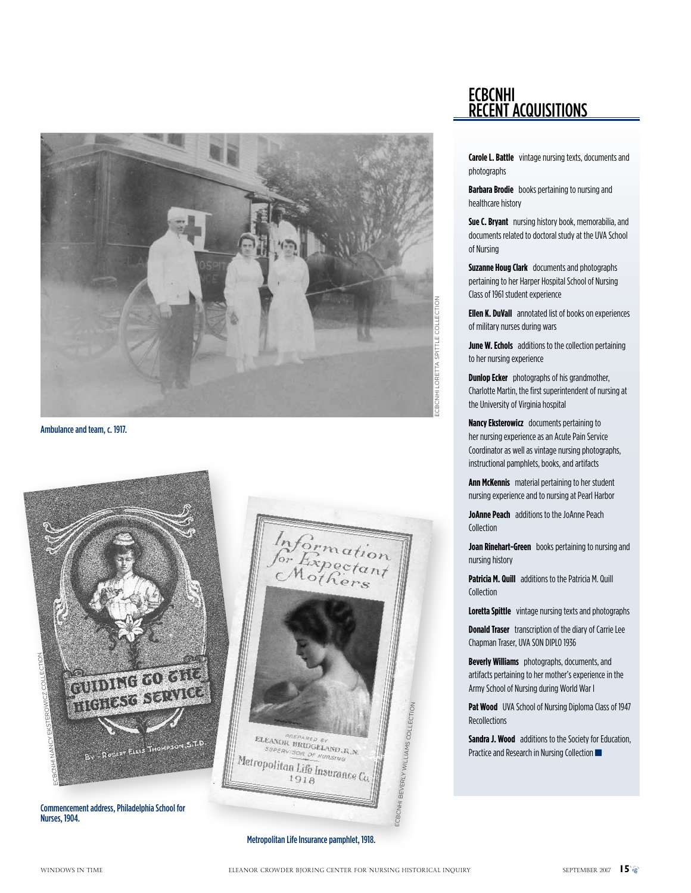

Ambulance and team, c. 1917.



Nurses, 1904.



**Carole L. Battle** vintage nursing texts, documents and photographs

**Barbara Brodie** books pertaining to nursing and healthcare history

**Sue C. Bryant** nursing history book, memorabilia, and documents related to doctoral study at the UVA School of Nursing

**Suzanne Houg Clark** documents and photographs pertaining to her Harper Hospital School of Nursing Class of 1961 student experience

**Ellen K. DuVall** annotated list of books on experiences of military nurses during wars

**June W. Echols** additions to the collection pertaining to her nursing experience

**Dunlop Ecker** photographs of his grandmother, Charlotte Martin, the first superintendent of nursing at the University of Virginia hospital

**Nancy Eksterowicz** documents pertaining to her nursing experience as an Acute Pain Service Coordinator as well as vintage nursing photographs, instructional pamphlets, books, and artifacts

**Ann McKennis** material pertaining to her student nursing experience and to nursing at Pearl Harbor

**JoAnne Peach** additions to the JoAnne Peach Collection

**Joan Rinehart-Green** books pertaining to nursing and nursing history

**Patricia M. Quill** additions to the Patricia M. Quill Collection

**Loretta Spittle** vintage nursing texts and photographs

**Donald Traser** transcription of the diary of Carrie Lee Chapman Traser, UVA SON DIPLO 1936

**Beverly Williams** photographs, documents, and artifacts pertaining to her mother's experience in the Army School of Nursing during World War I

Pat Wood UVA School of Nursing Diploma Class of 1947 **Recollections** 

**Sandra J. Wood** additions to the Society for Education, Practice and Research in Nursing Collection

Metropolitan Life Insurance pamphlet, 1918.

ECBCNHI

**CONTRIGHTS BEVERLY WILLIA** 

msMS COLLECTION